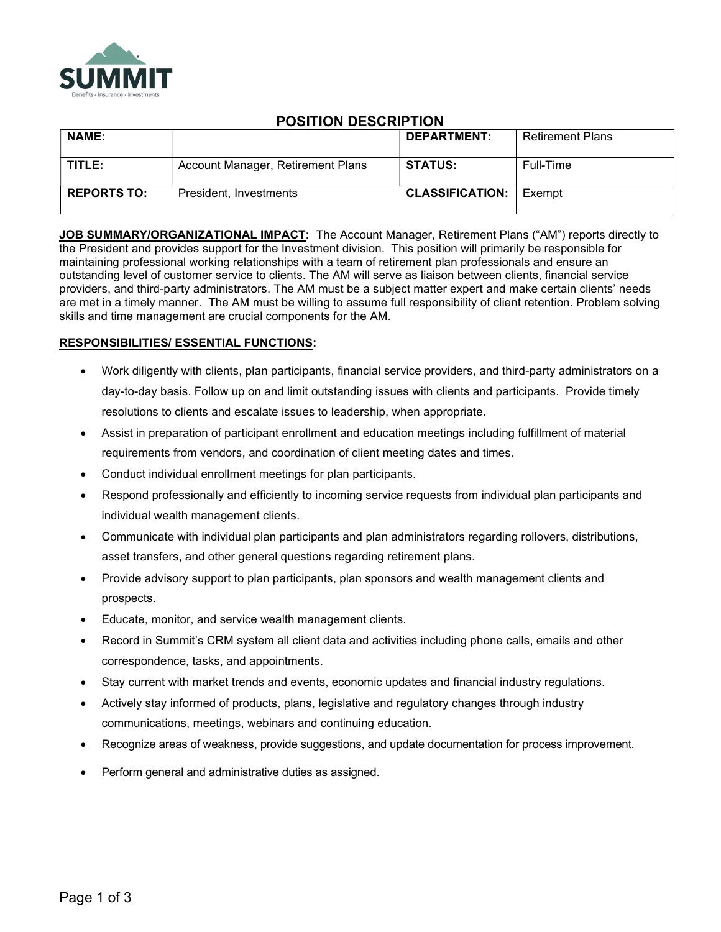

# POSITION DESCRIPTION

| <b>NAME:</b>       |                                   | <b>DEPARTMENT:</b>     | <b>Retirement Plans</b> |
|--------------------|-----------------------------------|------------------------|-------------------------|
| TITLE:             | Account Manager, Retirement Plans | <b>STATUS:</b>         | Full-Time               |
| <b>REPORTS TO:</b> | President, Investments            | <b>CLASSIFICATION:</b> | Exempt                  |

JOB SUMMARY/ORGANIZATIONAL IMPACT: The Account Manager, Retirement Plans ("AM") reports directly to the President and provides support for the Investment division. This position will primarily be responsible for maintaining professional working relationships with a team of retirement plan professionals and ensure an outstanding level of customer service to clients. The AM will serve as liaison between clients, financial service providers, and third-party administrators. The AM must be a subject matter expert and make certain clients' needs are met in a timely manner. The AM must be willing to assume full responsibility of client retention. Problem solving skills and time management are crucial components for the AM.

## RESPONSIBILITIES/ ESSENTIAL FUNCTIONS:

- Work diligently with clients, plan participants, financial service providers, and third-party administrators on a day-to-day basis. Follow up on and limit outstanding issues with clients and participants. Provide timely resolutions to clients and escalate issues to leadership, when appropriate.
- Assist in preparation of participant enrollment and education meetings including fulfillment of material requirements from vendors, and coordination of client meeting dates and times.
- Conduct individual enrollment meetings for plan participants.
- Respond professionally and efficiently to incoming service requests from individual plan participants and individual wealth management clients.
- Communicate with individual plan participants and plan administrators regarding rollovers, distributions, asset transfers, and other general questions regarding retirement plans.
- Provide advisory support to plan participants, plan sponsors and wealth management clients and prospects.
- Educate, monitor, and service wealth management clients.
- Record in Summit's CRM system all client data and activities including phone calls, emails and other correspondence, tasks, and appointments.
- Stay current with market trends and events, economic updates and financial industry regulations.
- Actively stay informed of products, plans, legislative and regulatory changes through industry communications, meetings, webinars and continuing education.
- Recognize areas of weakness, provide suggestions, and update documentation for process improvement.
- Perform general and administrative duties as assigned.